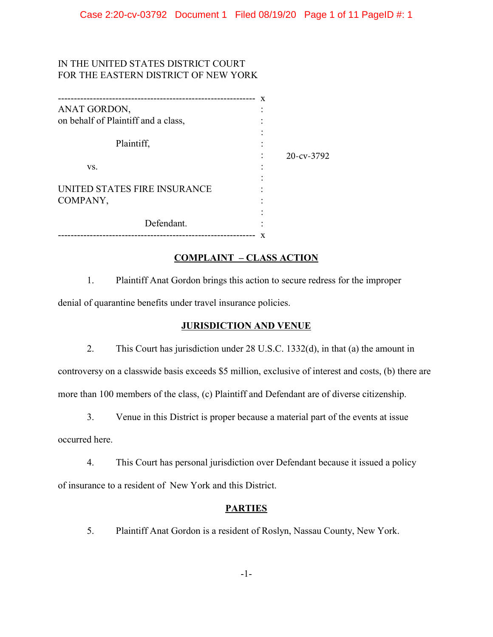# IN THE UNITED STATES DISTRICT COURT FOR THE EASTERN DISTRICT OF NEW YORK

| ------------------------------------- |               |
|---------------------------------------|---------------|
| ANAT GORDON,                          |               |
| on behalf of Plaintiff and a class,   |               |
|                                       |               |
| Plaintiff,                            |               |
|                                       | $20$ -cv-3792 |
| VS.                                   |               |
|                                       |               |
| UNITED STATES FIRE INSURANCE          |               |
| COMPANY,                              |               |
|                                       |               |
| Defendant.                            |               |
|                                       |               |

## **COMPLAINT - CLASS ACTION**

 $1.$ Plaintiff Anat Gordon brings this action to secure redress for the improper denial of quarantine benefits under travel insurance policies.

## **JURISDICTION AND VENUE**

2. This Court has jurisdiction under 28 U.S.C. 1332(d), in that (a) the amount in

controversy on a classwide basis exceeds \$5 million, exclusive of interest and costs, (b) there are more than 100 members of the class, (c) Plaintiff and Defendant are of diverse citizenship.

 $\overline{3}$ . Venue in this District is proper because a material part of the events at issue

occurred here.

 $4.$ This Court has personal jurisdiction over Defendant because it issued a policy of insurance to a resident of New York and this District.

## **PARTIES**

5. Plaintiff Anat Gordon is a resident of Roslyn, Nassau County, New York.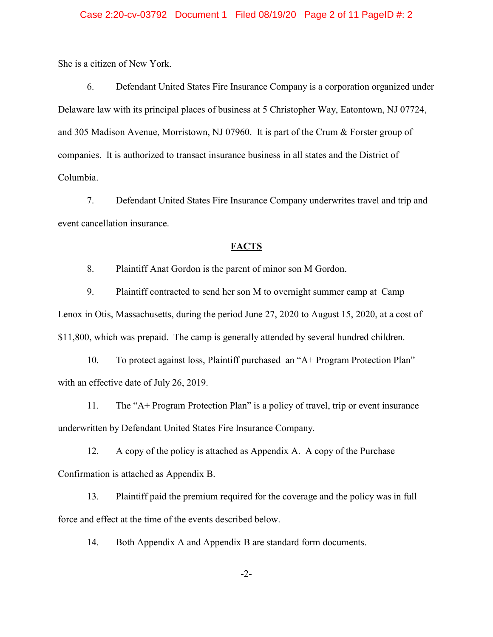#### Case 2:20-cv-03792 Document 1 Filed 08/19/20 Page 2 of 11 PageID #: 2

She is a citizen of New York.

6. Defendant United States Fire Insurance Company is a corporation organized under Delaware law with its principal places of business at 5 Christopher Way, Eatontown, NJ 07724, and 305 Madison Avenue, Morristown, NJ 07960. It is part of the Crum & Forster group of companies. It is authorized to transact insurance business in all states and the District of Columbia.

 $7.$ Defendant United States Fire Insurance Company underwrites travel and trip and event cancellation insurance.

### **FACTS**

8. Plaintiff Anat Gordon is the parent of minor son M Gordon.

9. Plaintiff contracted to send her son M to overnight summer camp at Camp Lenox in Otis, Massachusetts, during the period June 27, 2020 to August 15, 2020, at a cost of \$11,800, which was prepaid. The camp is generally attended by several hundred children.

To protect against loss, Plaintiff purchased an "A+ Program Protection Plan" 10. with an effective date of July 26, 2019.

 $11.$ The "A+ Program Protection Plan" is a policy of travel, trip or event insurance underwritten by Defendant United States Fire Insurance Company.

12. A copy of the policy is attached as Appendix A. A copy of the Purchase Confirmation is attached as Appendix B.

 $13.$ Plaintiff paid the premium required for the coverage and the policy was in full force and effect at the time of the events described below.

14. Both Appendix A and Appendix B are standard form documents.

 $-2-$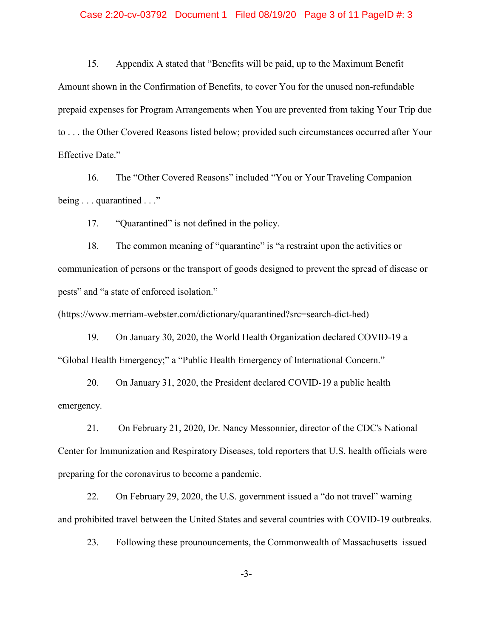#### Case 2:20-cv-03792 Document 1 Filed 08/19/20 Page 3 of 11 PageID #: 3

15. Appendix A stated that "Benefits will be paid, up to the Maximum Benefit Amount shown in the Confirmation of Benefits, to cover You for the unused non-refundable prepaid expenses for Program Arrangements when You are prevented from taking Your Trip due to ... the Other Covered Reasons listed below; provided such circumstances occurred after Your Effective Date."

The "Other Covered Reasons" included "You or Your Traveling Companion 16. being  $\dots$  quarantined  $\dots$ "

17. "Ouarantined" is not defined in the policy.

18. The common meaning of "quarantine" is "a restraint upon the activities or communication of persons or the transport of goods designed to prevent the spread of disease or pests" and "a state of enforced isolation."

(https://www.merriam-webster.com/dictionary/quarantined?src=search-dict-hed)

19. On January 30, 2020, the World Health Organization declared COVID-19 a "Global Health Emergency;" a "Public Health Emergency of International Concern."

20. On January 31, 2020, the President declared COVID-19 a public health emergency.

21. On February 21, 2020, Dr. Nancy Messonnier, director of the CDC's National Center for Immunization and Respiratory Diseases, told reporters that U.S. health officials were preparing for the coronavirus to become a pandemic.

22. On February 29, 2020, the U.S. government issued a "do not travel" warning and prohibited travel between the United States and several countries with COVID-19 outbreaks.

23. Following these prounouncements, the Commonwealth of Massachusetts issued

 $-3-$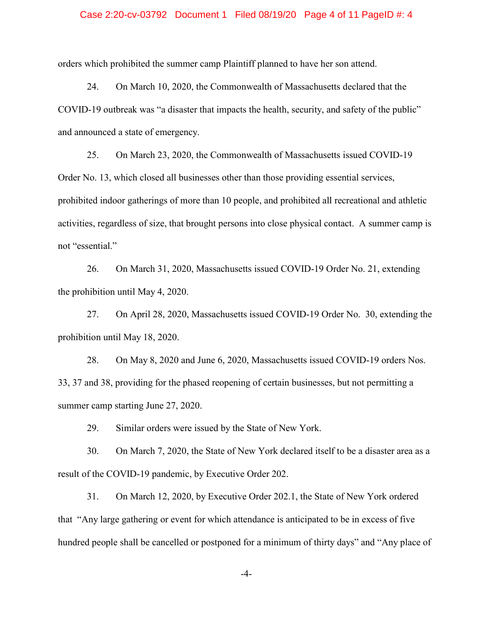#### Case 2:20-cv-03792 Document 1 Filed 08/19/20 Page 4 of 11 PageID #: 4

orders which prohibited the summer camp Plaintiff planned to have her son attend.

24. On March 10, 2020, the Commonwealth of Massachusetts declared that the COVID-19 outbreak was "a disaster that impacts the health, security, and safety of the public" and announced a state of emergency.

25. On March 23, 2020, the Commonwealth of Massachusetts issued COVID-19 Order No. 13, which closed all businesses other than those providing essential services, prohibited indoor gatherings of more than 10 people, and prohibited all recreational and athletic activities, regardless of size, that brought persons into close physical contact. A summer camp is not "essential."

26. On March 31, 2020, Massachusetts issued COVID-19 Order No. 21, extending the prohibition until May 4, 2020.

27. On April 28, 2020, Massachusetts issued COVID-19 Order No. 30, extending the prohibition until May 18, 2020.

28. On May 8, 2020 and June 6, 2020, Massachusetts issued COVID-19 orders Nos. 33, 37 and 38, providing for the phased reopening of certain businesses, but not permitting a summer camp starting June 27, 2020.

29. Similar orders were issued by the State of New York.

30. On March 7, 2020, the State of New York declared itself to be a disaster area as a result of the COVID-19 pandemic, by Executive Order 202.

 $31.$ On March 12, 2020, by Executive Order 202.1, the State of New York ordered that "Any large gathering or event for which attendance is anticipated to be in excess of five hundred people shall be cancelled or postponed for a minimum of thirty days" and "Any place of

 $-4-$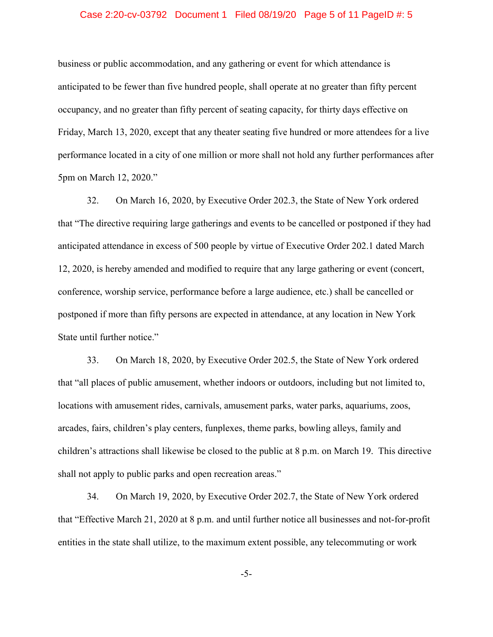#### Case 2:20-cv-03792 Document 1 Filed 08/19/20 Page 5 of 11 PageID #: 5

business or public accommodation, and any gathering or event for which attendance is anticipated to be fewer than five hundred people, shall operate at no greater than fifty percent occupancy, and no greater than fifty percent of seating capacity, for thirty days effective on Friday, March 13, 2020, except that any theater seating five hundred or more attendees for a live performance located in a city of one million or more shall not hold any further performances after 5pm on March 12, 2020."

On March 16, 2020, by Executive Order 202.3, the State of New York ordered 32. that "The directive requiring large gatherings and events to be cancelled or postponed if they had anticipated attendance in excess of 500 people by virtue of Executive Order 202.1 dated March 12, 2020, is hereby amended and modified to require that any large gathering or event (concert, conference, worship service, performance before a large audience, etc.) shall be cancelled or postponed if more than fifty persons are expected in attendance, at any location in New York State until further notice."

On March 18, 2020, by Executive Order 202.5, the State of New York ordered 33. that "all places of public amusement, whether indoors or outdoors, including but not limited to, locations with amusement rides, carnivals, amusement parks, water parks, aquariums, zoos, arcades, fairs, children's play centers, funplexes, theme parks, bowling alleys, family and children's attractions shall likewise be closed to the public at 8 p.m. on March 19. This directive shall not apply to public parks and open recreation areas."

34. On March 19, 2020, by Executive Order 202.7, the State of New York ordered that "Effective March 21, 2020 at 8 p.m. and until further notice all businesses and not-for-profit entities in the state shall utilize, to the maximum extent possible, any telecommuting or work

 $-5-$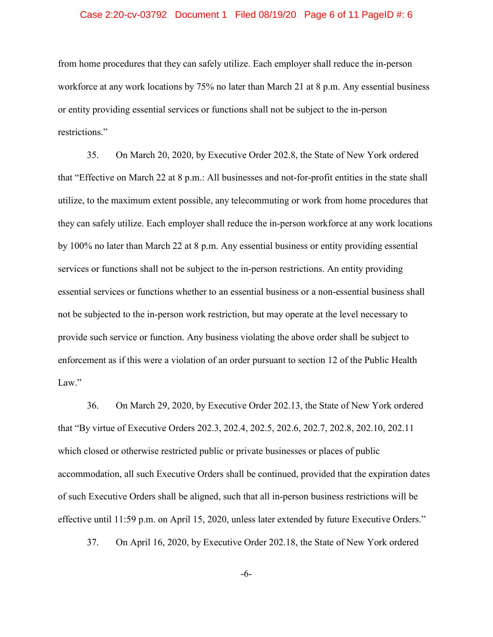#### Case 2:20-cv-03792 Document 1 Filed 08/19/20 Page 6 of 11 PageID #: 6

from home procedures that they can safely utilize. Each employer shall reduce the in-person workforce at any work locations by 75% no later than March 21 at 8 p.m. Any essential business or entity providing essential services or functions shall not be subject to the in-person restrictions."

35. On March 20, 2020, by Executive Order 202.8, the State of New York ordered that "Effective on March 22 at 8 p.m.: All businesses and not-for-profit entities in the state shall utilize, to the maximum extent possible, any telecommuting or work from home procedures that they can safely utilize. Each employer shall reduce the in-person workforce at any work locations by 100% no later than March 22 at 8 p.m. Any essential business or entity providing essential services or functions shall not be subject to the in-person restrictions. An entity providing essential services or functions whether to an essential business or a non-essential business shall not be subjected to the in-person work restriction, but may operate at the level necessary to provide such service or function. Any business violating the above order shall be subject to enforcement as if this were a violation of an order pursuant to section 12 of the Public Health Law."

36. On March 29, 2020, by Executive Order 202.13, the State of New York ordered that "By virtue of Executive Orders 202.3, 202.4, 202.5, 202.6, 202.7, 202.8, 202.10, 202.11 which closed or otherwise restricted public or private businesses or places of public accommodation, all such Executive Orders shall be continued, provided that the expiration dates of such Executive Orders shall be aligned, such that all in-person business restrictions will be effective until 11:59 p.m. on April 15, 2020, unless later extended by future Executive Orders."

37. On April 16, 2020, by Executive Order 202.18, the State of New York ordered

 $-6-$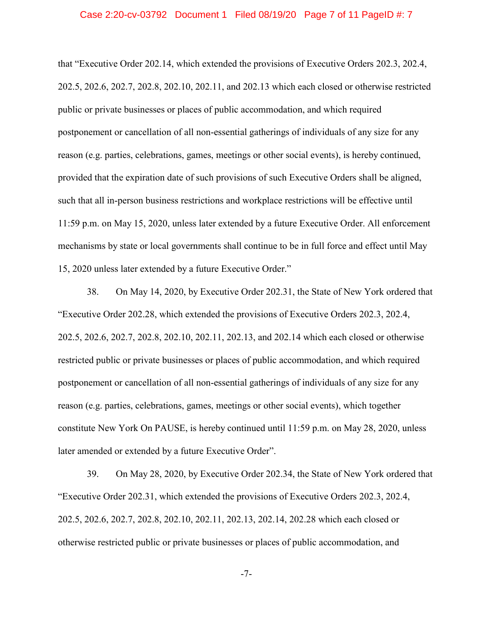#### Case 2:20-cv-03792 Document 1 Filed 08/19/20 Page 7 of 11 PageID #: 7

that "Executive Order 202.14, which extended the provisions of Executive Orders 202.3, 202.4, 202.5, 202.6, 202.7, 202.8, 202.10, 202.11, and 202.13 which each closed or otherwise restricted public or private businesses or places of public accommodation, and which required postponement or cancellation of all non-essential gatherings of individuals of any size for any reason (e.g. parties, celebrations, games, meetings or other social events), is hereby continued, provided that the expiration date of such provisions of such Executive Orders shall be aligned. such that all in-person business restrictions and workplace restrictions will be effective until 11:59 p.m. on May 15, 2020, unless later extended by a future Executive Order. All enforcement mechanisms by state or local governments shall continue to be in full force and effect until May 15, 2020 unless later extended by a future Executive Order."

38. On May 14, 2020, by Executive Order 202.31, the State of New York ordered that "Executive Order 202.28, which extended the provisions of Executive Orders 202.3, 202.4, 202.5, 202.6, 202.7, 202.8, 202.10, 202.11, 202.13, and 202.14 which each closed or otherwise restricted public or private businesses or places of public accommodation, and which required postponement or cancellation of all non-essential gatherings of individuals of any size for any reason (e.g. parties, celebrations, games, meetings or other social events), which together constitute New York On PAUSE, is hereby continued until 11:59 p.m. on May 28, 2020, unless later amended or extended by a future Executive Order".

39. On May 28, 2020, by Executive Order 202.34, the State of New York ordered that "Executive Order 202.31, which extended the provisions of Executive Orders 202.3, 202.4, 202.5, 202.6, 202.7, 202.8, 202.10, 202.11, 202.13, 202.14, 202.28 which each closed or otherwise restricted public or private businesses or places of public accommodation, and

 $-7-$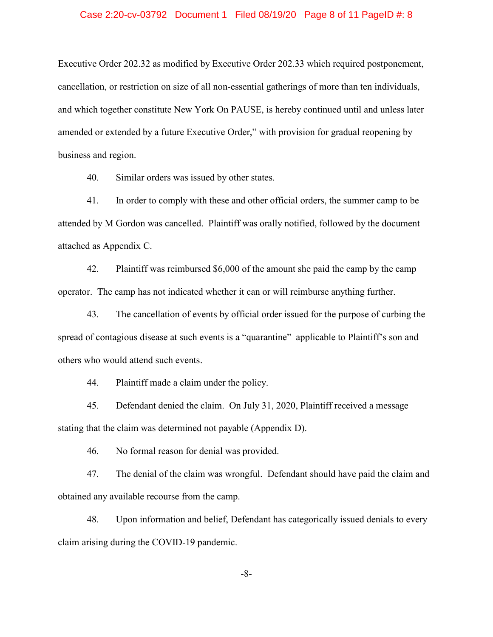#### Case 2:20-cv-03792 Document 1 Filed 08/19/20 Page 8 of 11 PageID #: 8

Executive Order 202.32 as modified by Executive Order 202.33 which required postponement, cancellation, or restriction on size of all non-essential gatherings of more than ten individuals, and which together constitute New York On PAUSE, is hereby continued until and unless later amended or extended by a future Executive Order," with provision for gradual reopening by business and region.

40. Similar orders was issued by other states.

In order to comply with these and other official orders, the summer camp to be 41. attended by M Gordon was cancelled. Plaintiff was orally notified, followed by the document attached as Appendix C.

42. Plaintiff was reimbursed \$6,000 of the amount she paid the camp by the camp operator. The camp has not indicated whether it can or will reimburse anything further.

43. The cancellation of events by official order issued for the purpose of curbing the spread of contagious disease at such events is a "quarantine" applicable to Plaintiff's son and others who would attend such events.

44. Plaintiff made a claim under the policy.

Defendant denied the claim. On July 31, 2020, Plaintiff received a message 45. stating that the claim was determined not payable (Appendix D).

46. No formal reason for denial was provided.

47. The denial of the claim was wrongful. Defendant should have paid the claim and obtained any available recourse from the camp.

48. Upon information and belief, Defendant has categorically issued denials to every claim arising during the COVID-19 pandemic.

 $-8-$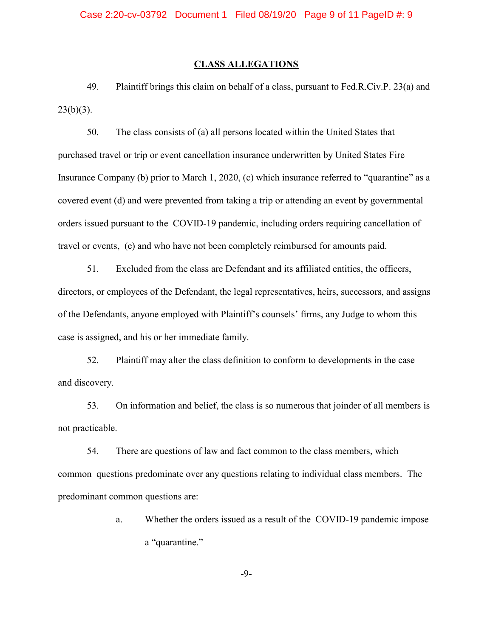#### **CLASS ALLEGATIONS**

49. Plaintiff brings this claim on behalf of a class, pursuant to Fed.R.Civ.P. 23(a) and  $23(b)(3)$ .

50. The class consists of (a) all persons located within the United States that purchased travel or trip or event cancellation insurance underwritten by United States Fire Insurance Company (b) prior to March 1, 2020, (c) which insurance referred to "quarantine" as a covered event (d) and were prevented from taking a trip or attending an event by governmental orders issued pursuant to the COVID-19 pandemic, including orders requiring cancellation of travel or events, (e) and who have not been completely reimbursed for amounts paid.

51. Excluded from the class are Defendant and its affiliated entities, the officers, directors, or employees of the Defendant, the legal representatives, heirs, successors, and assigns of the Defendants, anyone employed with Plaintiff's counsels' firms, any Judge to whom this case is assigned, and his or her immediate family.

Plaintiff may alter the class definition to conform to developments in the case 52. and discovery.

On information and belief, the class is so numerous that joinder of all members is 53. not practicable.

There are questions of law and fact common to the class members, which 54. common questions predominate over any questions relating to individual class members. The predominant common questions are:

> Whether the orders issued as a result of the COVID-19 pandemic impose a. a "quarantine."

> > $-9-$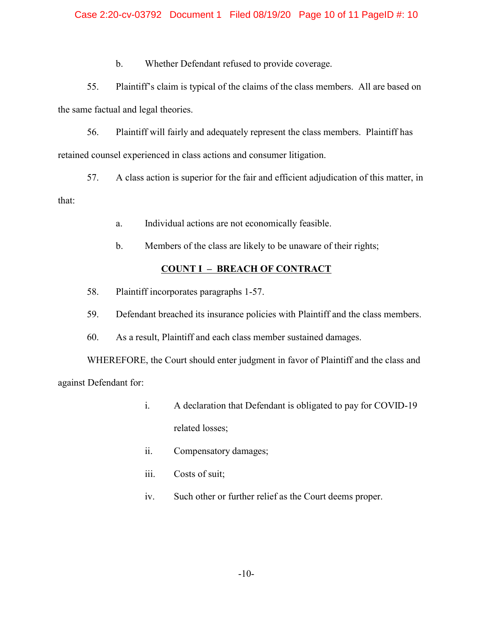### Case 2:20-cv-03792 Document 1 Filed 08/19/20 Page 10 of 11 PageID #: 10

 $\mathbf{b}$ . Whether Defendant refused to provide coverage.

55. Plaintiff's claim is typical of the claims of the class members. All are based on the same factual and legal theories.

56. Plaintiff will fairly and adequately represent the class members. Plaintiff has retained counsel experienced in class actions and consumer litigation.

57. A class action is superior for the fair and efficient adjudication of this matter, in

that:

- Individual actions are not economically feasible. a.
- Members of the class are likely to be unaware of their rights;  $\mathbf{b}$ .

# **COUNT I - BREACH OF CONTRACT**

- 58. Plaintiff incorporates paragraphs 1-57.
- Defendant breached its insurance policies with Plaintiff and the class members. 59.

60. As a result, Plaintiff and each class member sustained damages.

WHEREFORE, the Court should enter judgment in favor of Plaintiff and the class and against Defendant for:

- $i$ . A declaration that Defendant is obligated to pay for COVID-19 related losses;
- ii. Compensatory damages;
- iii. Costs of suit;
- $iv.$ Such other or further relief as the Court deems proper.